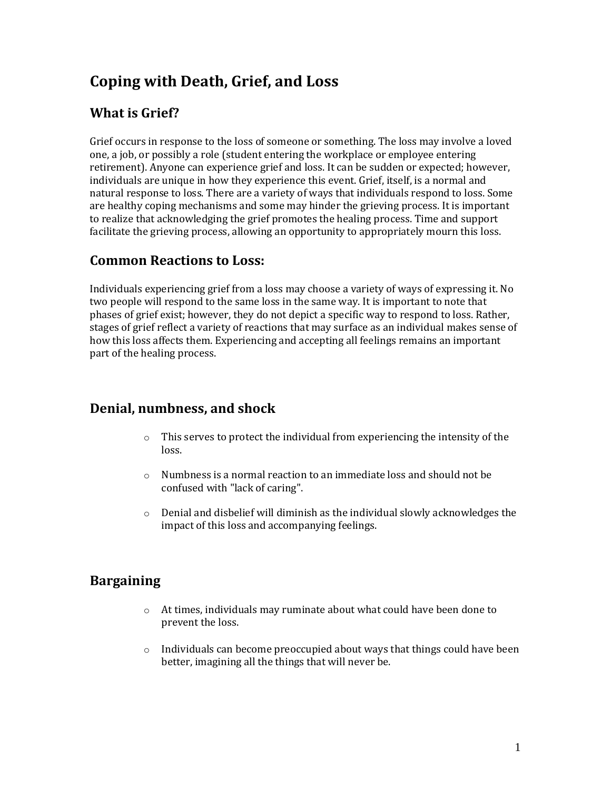# **Coping with Death, Grief, and Loss**

# **What is Grief?**

Grief occurs in response to the loss of someone or something. The loss may involve a loved one, a job, or possibly a role (student entering the workplace or employee entering retirement). Anyone can experience grief and loss. It can be sudden or expected; however, individuals are unique in how they experience this event. Grief, itself, is a normal and natural response to loss. There are a variety of ways that individuals respond to loss. Some are healthy coping mechanisms and some may hinder the grieving process. It is important to realize that acknowledging the grief promotes the healing process. Time and support facilitate the grieving process, allowing an opportunity to appropriately mourn this loss.

## **Common Reactions to Loss:**

Individuals experiencing grief from a loss may choose a variety of ways of expressing it. No two people will respond to the same loss in the same way. It is important to note that phases of grief exist; however, they do not depict a specific way to respond to loss. Rather, stages of grief reflect a variety of reactions that may surface as an individual makes sense of how this loss affects them. Experiencing and accepting all feelings remains an important part of the healing process.

# **Denial, numbness, and shock**

- $\circ$  This serves to protect the individual from experiencing the intensity of the loss.
- $\circ$  Numbness is a normal reaction to an immediate loss and should not be confused with "lack of caring".
- $\circ$  Denial and disbelief will diminish as the individual slowly acknowledges the impact of this loss and accompanying feelings.

# **Bargaining**

- o At times, individuals may ruminate about what could have been done to prevent the loss.
- $\circ$  Individuals can become preoccupied about ways that things could have been better, imagining all the things that will never be.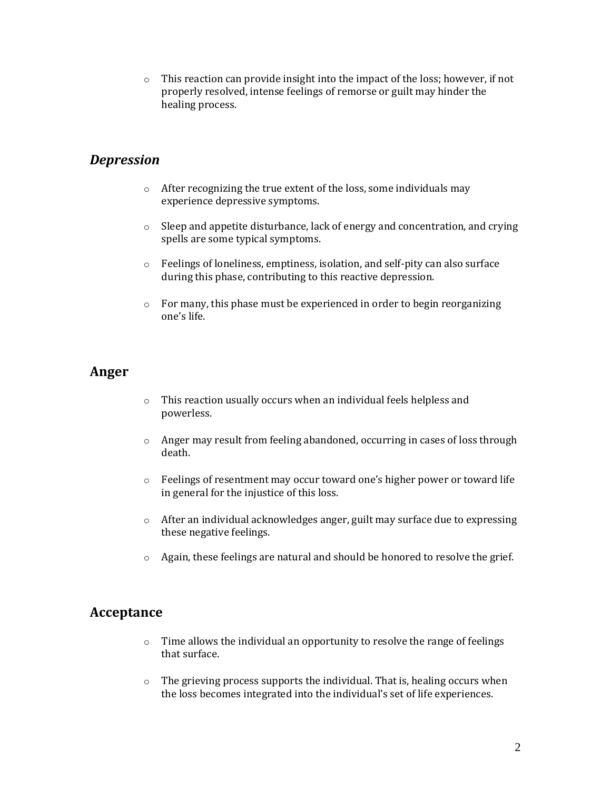$\circ$  This reaction can provide insight into the impact of the loss; however, if not properly resolved, intense feelings of remorse or guilt may hinder the healing process.

## *Depression*

- o After recognizing the true extent of the loss, some individuals may experience depressive symptoms.
- $\circ$  Sleep and appetite disturbance, lack of energy and concentration, and crying spells are some typical symptoms.
- o Feelings of loneliness, emptiness, isolation, and self-pity can also surface during this phase, contributing to this reactive depression.
- $\circ$  For many, this phase must be experienced in order to begin reorganizing one's life.

### **Anger**

- o This reaction usually occurs when an individual feels helpless and powerless.
- $\circ$  Anger may result from feeling abandoned, occurring in cases of loss through death.
- o Feelings of resentment may occur toward one's higher power or toward life in general for the injustice of this loss.
- o After an individual acknowledges anger, guilt may surface due to expressing these negative feelings.
- o Again, these feelings are natural and should be honored to resolve the grief.

### **Acceptance**

- o Time allows the individual an opportunity to resolve the range of feelings that surface.
- $\circ$  The grieving process supports the individual. That is, healing occurs when the loss becomes integrated into the individual's set of life experiences.